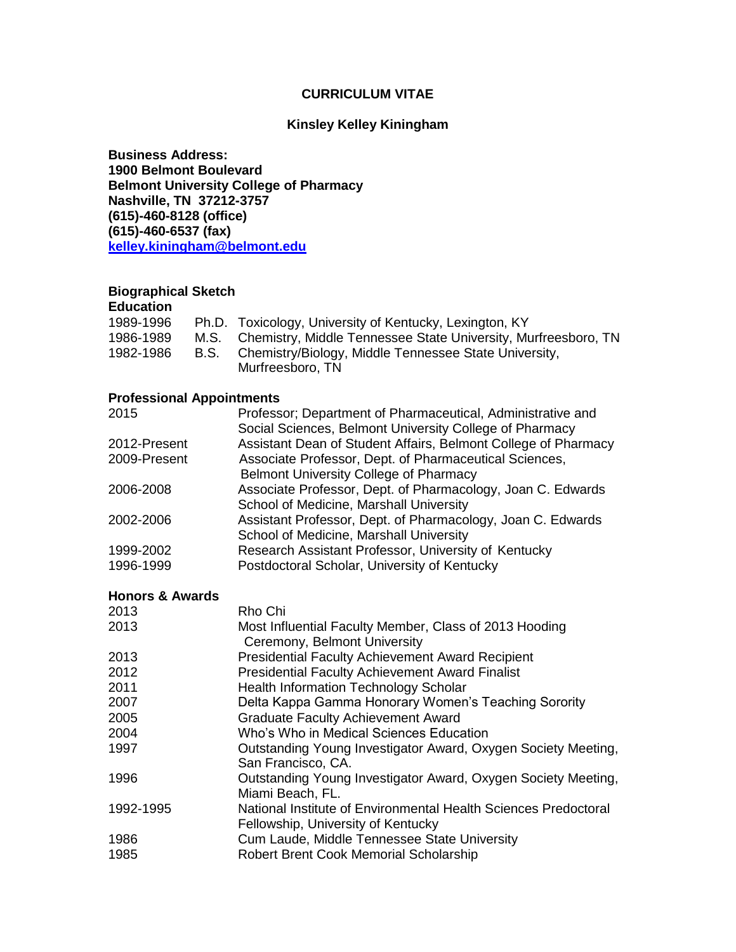## **CURRICULUM VITAE**

#### **Kinsley Kelley Kiningham**

**Business Address: 1900 Belmont Boulevard Belmont University College of Pharmacy Nashville, TN 37212-3757 (615)-460-8128 (office) (615)-460-6537 (fax) [kelley.kiningham@belmont.edu](mailto:kininghamk@mail.belmont.edu)**

## **Biographical Sketch**

### **Education**

| 1989-1996 | Ph.D. Toxicology, University of Kentucky, Lexington, KY             |
|-----------|---------------------------------------------------------------------|
| 1986-1989 | M.S. Chemistry, Middle Tennessee State University, Murfreesboro, TN |
| 1982-1986 | B.S. Chemistry/Biology, Middle Tennessee State University,          |
|           | Murfreesboro, TN                                                    |

### **Professional Appointments**

| Professor; Department of Pharmaceutical, Administrative and    |
|----------------------------------------------------------------|
| Social Sciences, Belmont University College of Pharmacy        |
| Assistant Dean of Student Affairs, Belmont College of Pharmacy |
| Associate Professor, Dept. of Pharmaceutical Sciences,         |
| <b>Belmont University College of Pharmacy</b>                  |
| Associate Professor, Dept. of Pharmacology, Joan C. Edwards    |
| School of Medicine, Marshall University                        |
| Assistant Professor, Dept. of Pharmacology, Joan C. Edwards    |
| School of Medicine, Marshall University                        |
| Research Assistant Professor, University of Kentucky           |
| Postdoctoral Scholar, University of Kentucky                   |
|                                                                |

### **Honors & Awards**

| 2013      | Rho Chi                                                                                               |
|-----------|-------------------------------------------------------------------------------------------------------|
| 2013      | Most Influential Faculty Member, Class of 2013 Hooding<br>Ceremony, Belmont University                |
| 2013      | <b>Presidential Faculty Achievement Award Recipient</b>                                               |
| 2012      | <b>Presidential Faculty Achievement Award Finalist</b>                                                |
| 2011      | <b>Health Information Technology Scholar</b>                                                          |
| 2007      | Delta Kappa Gamma Honorary Women's Teaching Sorority                                                  |
| 2005      | <b>Graduate Faculty Achievement Award</b>                                                             |
| 2004      | Who's Who in Medical Sciences Education                                                               |
| 1997      | Outstanding Young Investigator Award, Oxygen Society Meeting,<br>San Francisco, CA.                   |
| 1996      | Outstanding Young Investigator Award, Oxygen Society Meeting,<br>Miami Beach, FL.                     |
| 1992-1995 | National Institute of Environmental Health Sciences Predoctoral<br>Fellowship, University of Kentucky |
| 1986      | Cum Laude, Middle Tennessee State University                                                          |
| 1985      | <b>Robert Brent Cook Memorial Scholarship</b>                                                         |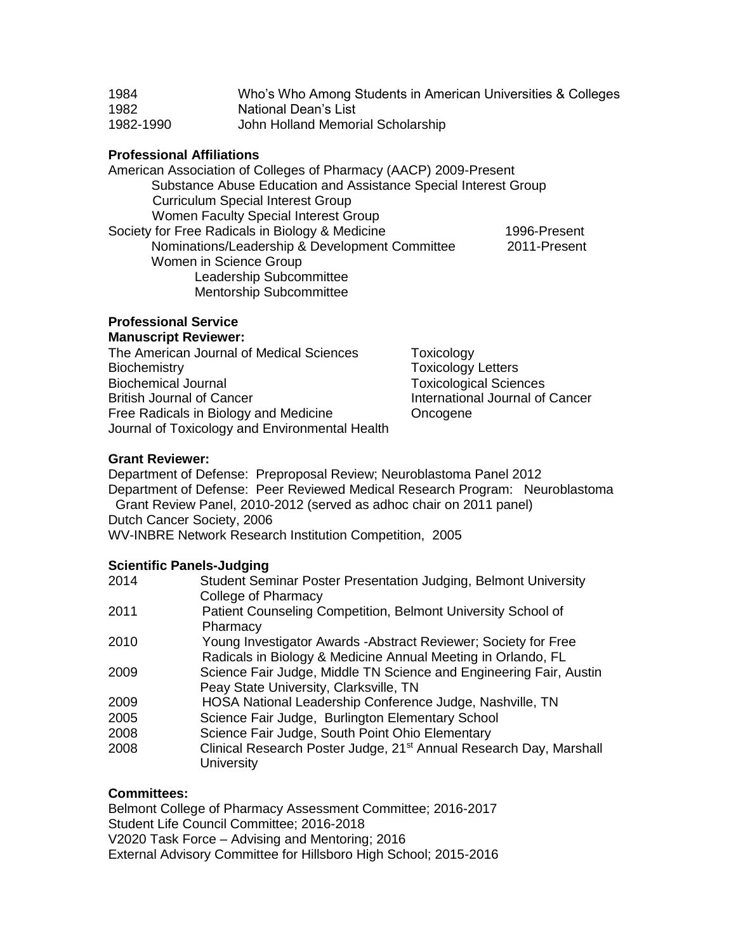| 1984      | Who's Who Among Students in American Universities & Colleges |
|-----------|--------------------------------------------------------------|
| 1982      | National Dean's List                                         |
| 1982-1990 | John Holland Memorial Scholarship                            |

### **Professional Affiliations**

American Association of Colleges of Pharmacy (AACP) 2009-Present Substance Abuse Education and Assistance Special Interest Group Curriculum Special Interest Group Women Faculty Special Interest Group Society for Free Radicals in Biology & Medicine 1996-Present Nominations/Leadership & Development Committee 2011-Present Women in Science Group Leadership Subcommittee Mentorship Subcommittee

#### **Professional Service Manuscript Reviewer:**

The American Journal of Medical Sciences Toxicology Biochemistry **Toxicology** Letters Biochemical Journal **Toxicological Sciences** British Journal of Cancer **International Journal of Cancer** Free Radicals in Biology and Medicine **Concogene** Journal of Toxicology and Environmental Health

### **Grant Reviewer:**

Department of Defense: Preproposal Review; Neuroblastoma Panel 2012 Department of Defense: Peer Reviewed Medical Research Program: Neuroblastoma Grant Review Panel, 2010-2012 (served as adhoc chair on 2011 panel) Dutch Cancer Society, 2006 WV-INBRE Network Research Institution Competition, 2005

### **Scientific Panels-Judging**

| 2014 | Student Seminar Poster Presentation Judging, Belmont University                |
|------|--------------------------------------------------------------------------------|
|      | College of Pharmacy                                                            |
| 2011 | Patient Counseling Competition, Belmont University School of                   |
|      | Pharmacy                                                                       |
| 2010 | Young Investigator Awards - Abstract Reviewer; Society for Free                |
|      | Radicals in Biology & Medicine Annual Meeting in Orlando, FL                   |
| 2009 | Science Fair Judge, Middle TN Science and Engineering Fair, Austin             |
|      | Peay State University, Clarksville, TN                                         |
| 2009 | HOSA National Leadership Conference Judge, Nashville, TN                       |
| 2005 | Science Fair Judge, Burlington Elementary School                               |
| 2008 | Science Fair Judge, South Point Ohio Elementary                                |
| 2008 | Clinical Research Poster Judge, 21 <sup>st</sup> Annual Research Day, Marshall |
|      | <b>University</b>                                                              |
|      |                                                                                |

### **Committees:**

Belmont College of Pharmacy Assessment Committee; 2016-2017 Student Life Council Committee; 2016-2018 V2020 Task Force – Advising and Mentoring; 2016 External Advisory Committee for Hillsboro High School; 2015-2016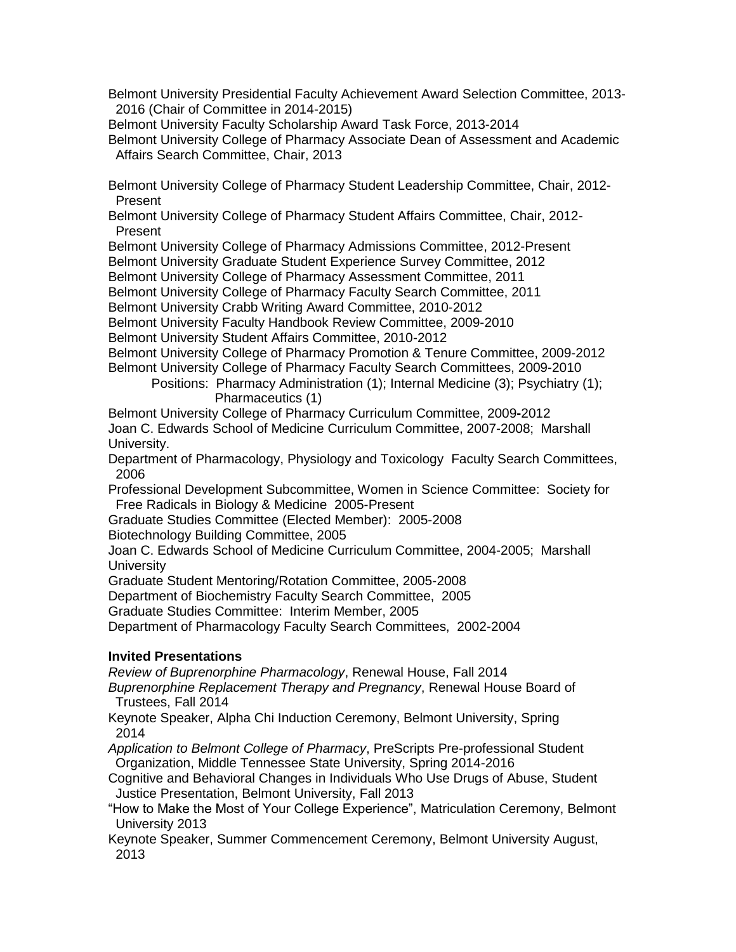Belmont University Presidential Faculty Achievement Award Selection Committee, 2013- 2016 (Chair of Committee in 2014-2015)

Belmont University Faculty Scholarship Award Task Force, 2013-2014

Belmont University College of Pharmacy Associate Dean of Assessment and Academic Affairs Search Committee, Chair, 2013

Belmont University College of Pharmacy Student Leadership Committee, Chair, 2012- Present

Belmont University College of Pharmacy Student Affairs Committee, Chair, 2012- Present

Belmont University College of Pharmacy Admissions Committee, 2012-Present

Belmont University Graduate Student Experience Survey Committee, 2012

Belmont University College of Pharmacy Assessment Committee, 2011

Belmont University College of Pharmacy Faculty Search Committee, 2011

Belmont University Crabb Writing Award Committee, 2010-2012

Belmont University Faculty Handbook Review Committee, 2009-2010

Belmont University Student Affairs Committee, 2010-2012

Belmont University College of Pharmacy Promotion & Tenure Committee, 2009-2012 Belmont University College of Pharmacy Faculty Search Committees, 2009-2010

Positions: Pharmacy Administration (1); Internal Medicine (3); Psychiatry (1); Pharmaceutics (1)

Belmont University College of Pharmacy Curriculum Committee, 2009**-**2012 Joan C. Edwards School of Medicine Curriculum Committee, 2007-2008; Marshall University.

Department of Pharmacology, Physiology and Toxicology Faculty Search Committees, 2006

Professional Development Subcommittee, Women in Science Committee: Society for Free Radicals in Biology & Medicine 2005-Present

Graduate Studies Committee (Elected Member): 2005-2008

Biotechnology Building Committee, 2005

Joan C. Edwards School of Medicine Curriculum Committee, 2004-2005; Marshall **University** 

Graduate Student Mentoring/Rotation Committee, 2005-2008

Department of Biochemistry Faculty Search Committee, 2005

Graduate Studies Committee: Interim Member, 2005

Department of Pharmacology Faculty Search Committees, 2002-2004

### **Invited Presentations**

*Review of Buprenorphine Pharmacology*, Renewal House, Fall 2014

*Buprenorphine Replacement Therapy and Pregnancy*, Renewal House Board of Trustees, Fall 2014

Keynote Speaker, Alpha Chi Induction Ceremony, Belmont University, Spring 2014

*Application to Belmont College of Pharmacy*, PreScripts Pre-professional Student Organization, Middle Tennessee State University, Spring 2014-2016

Cognitive and Behavioral Changes in Individuals Who Use Drugs of Abuse, Student Justice Presentation, Belmont University, Fall 2013

"How to Make the Most of Your College Experience", Matriculation Ceremony, Belmont University 2013

Keynote Speaker, Summer Commencement Ceremony, Belmont University August, 2013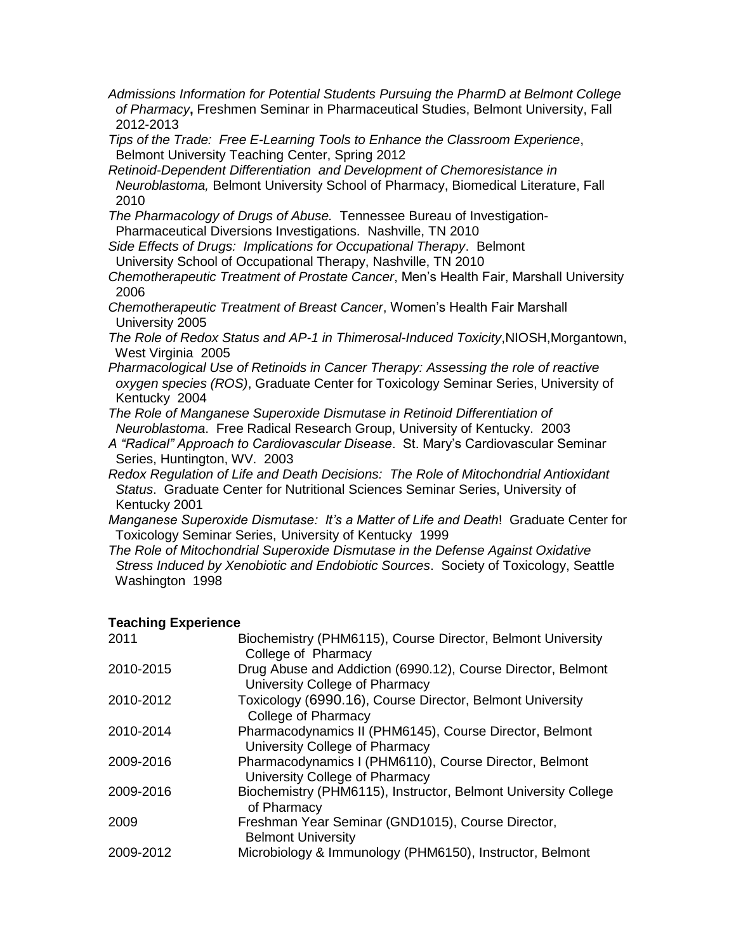- *Admissions Information for Potential Students Pursuing the PharmD at Belmont College of Pharmacy***,** Freshmen Seminar in Pharmaceutical Studies, Belmont University, Fall 2012-2013
- *Tips of the Trade: Free E-Learning Tools to Enhance the Classroom Experience*, Belmont University Teaching Center, Spring 2012
- *Retinoid-Dependent Differentiation and Development of Chemoresistance in Neuroblastoma,* Belmont University School of Pharmacy, Biomedical Literature, Fall 2010
- *The Pharmacology of Drugs of Abuse.* Tennessee Bureau of Investigation- Pharmaceutical Diversions Investigations. Nashville, TN 2010
- *Side Effects of Drugs: Implications for Occupational Therapy*. Belmont University School of Occupational Therapy, Nashville, TN 2010
- *Chemotherapeutic Treatment of Prostate Cancer*, Men's Health Fair, Marshall University 2006
- *Chemotherapeutic Treatment of Breast Cancer*, Women's Health Fair Marshall University 2005
- *The Role of Redox Status and AP-1 in Thimerosal-Induced Toxicity*,NIOSH,Morgantown, West Virginia 2005
- *Pharmacological Use of Retinoids in Cancer Therapy: Assessing the role of reactive oxygen species (ROS)*, Graduate Center for Toxicology Seminar Series, University of Kentucky 2004
- *The Role of Manganese Superoxide Dismutase in Retinoid Differentiation of Neuroblastoma*. Free Radical Research Group, University of Kentucky. 2003
- *A "Radical" Approach to Cardiovascular Disease*. St. Mary's Cardiovascular Seminar Series, Huntington, WV. 2003
- *Redox Regulation of Life and Death Decisions: The Role of Mitochondrial Antioxidant Status*. Graduate Center for Nutritional Sciences Seminar Series, University of Kentucky 2001
- *Manganese Superoxide Dismutase: It's a Matter of Life and Death*! Graduate Center for Toxicology Seminar Series, University of Kentucky 1999
- *The Role of Mitochondrial Superoxide Dismutase in the Defense Against Oxidative Stress Induced by Xenobiotic and Endobiotic Sources*. Society of Toxicology, Seattle Washington 1998

### **Teaching Experience**

| 2011      | Biochemistry (PHM6115), Course Director, Belmont University<br>College of Pharmacy             |
|-----------|------------------------------------------------------------------------------------------------|
| 2010-2015 | Drug Abuse and Addiction (6990.12), Course Director, Belmont<br>University College of Pharmacy |
| 2010-2012 | Toxicology (6990.16), Course Director, Belmont University<br>College of Pharmacy               |
| 2010-2014 | Pharmacodynamics II (PHM6145), Course Director, Belmont<br>University College of Pharmacy      |
| 2009-2016 | Pharmacodynamics I (PHM6110), Course Director, Belmont<br>University College of Pharmacy       |
| 2009-2016 | Biochemistry (PHM6115), Instructor, Belmont University College<br>of Pharmacy                  |
| 2009      | Freshman Year Seminar (GND1015), Course Director,<br><b>Belmont University</b>                 |
| 2009-2012 | Microbiology & Immunology (PHM6150), Instructor, Belmont                                       |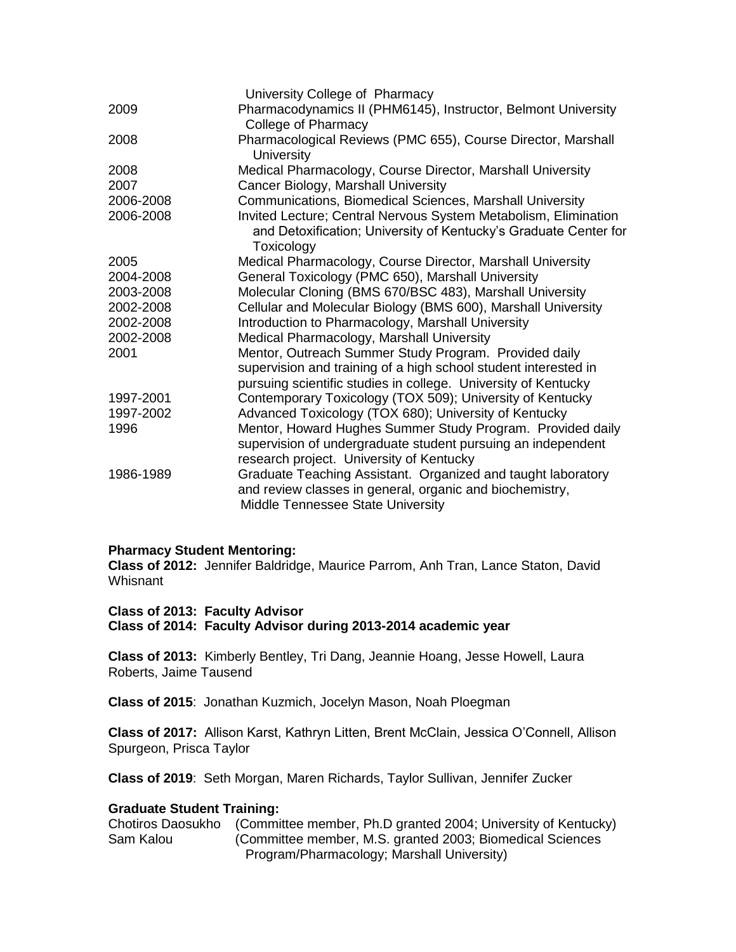|           | University College of Pharmacy                                                                                                                                                             |
|-----------|--------------------------------------------------------------------------------------------------------------------------------------------------------------------------------------------|
| 2009      | Pharmacodynamics II (PHM6145), Instructor, Belmont University<br>College of Pharmacy                                                                                                       |
| 2008      | Pharmacological Reviews (PMC 655), Course Director, Marshall<br><b>University</b>                                                                                                          |
| 2008      | Medical Pharmacology, Course Director, Marshall University                                                                                                                                 |
| 2007      | Cancer Biology, Marshall University                                                                                                                                                        |
| 2006-2008 | Communications, Biomedical Sciences, Marshall University                                                                                                                                   |
| 2006-2008 | Invited Lecture; Central Nervous System Metabolism, Elimination<br>and Detoxification; University of Kentucky's Graduate Center for<br>Toxicology                                          |
| 2005      | Medical Pharmacology, Course Director, Marshall University                                                                                                                                 |
| 2004-2008 | General Toxicology (PMC 650), Marshall University                                                                                                                                          |
| 2003-2008 | Molecular Cloning (BMS 670/BSC 483), Marshall University                                                                                                                                   |
| 2002-2008 | Cellular and Molecular Biology (BMS 600), Marshall University                                                                                                                              |
| 2002-2008 | Introduction to Pharmacology, Marshall University                                                                                                                                          |
| 2002-2008 | Medical Pharmacology, Marshall University                                                                                                                                                  |
| 2001      | Mentor, Outreach Summer Study Program. Provided daily<br>supervision and training of a high school student interested in<br>pursuing scientific studies in college. University of Kentucky |
| 1997-2001 | Contemporary Toxicology (TOX 509); University of Kentucky                                                                                                                                  |
| 1997-2002 | Advanced Toxicology (TOX 680); University of Kentucky                                                                                                                                      |
| 1996      | Mentor, Howard Hughes Summer Study Program. Provided daily<br>supervision of undergraduate student pursuing an independent<br>research project. University of Kentucky                     |
| 1986-1989 | Graduate Teaching Assistant. Organized and taught laboratory<br>and review classes in general, organic and biochemistry,<br>Middle Tennessee State University                              |
|           |                                                                                                                                                                                            |

### **Pharmacy Student Mentoring:**

**Class of 2012:** Jennifer Baldridge, Maurice Parrom, Anh Tran, Lance Staton, David **Whisnant** 

### **Class of 2013: Faculty Advisor**

**Class of 2014: Faculty Advisor during 2013-2014 academic year**

**Class of 2013:** Kimberly Bentley, Tri Dang, Jeannie Hoang, Jesse Howell, Laura Roberts, Jaime Tausend

**Class of 2015**: Jonathan Kuzmich, Jocelyn Mason, Noah Ploegman

**Class of 2017:** Allison Karst, Kathryn Litten, Brent McClain, Jessica O'Connell, Allison Spurgeon, Prisca Taylor

**Class of 2019**: Seth Morgan, Maren Richards, Taylor Sullivan, Jennifer Zucker

### **Graduate Student Training:**

Chotiros Daosukho (Committee member, Ph.D granted 2004; University of Kentucky) Sam Kalou (Committee member, M.S. granted 2003; Biomedical Sciences Program/Pharmacology; Marshall University)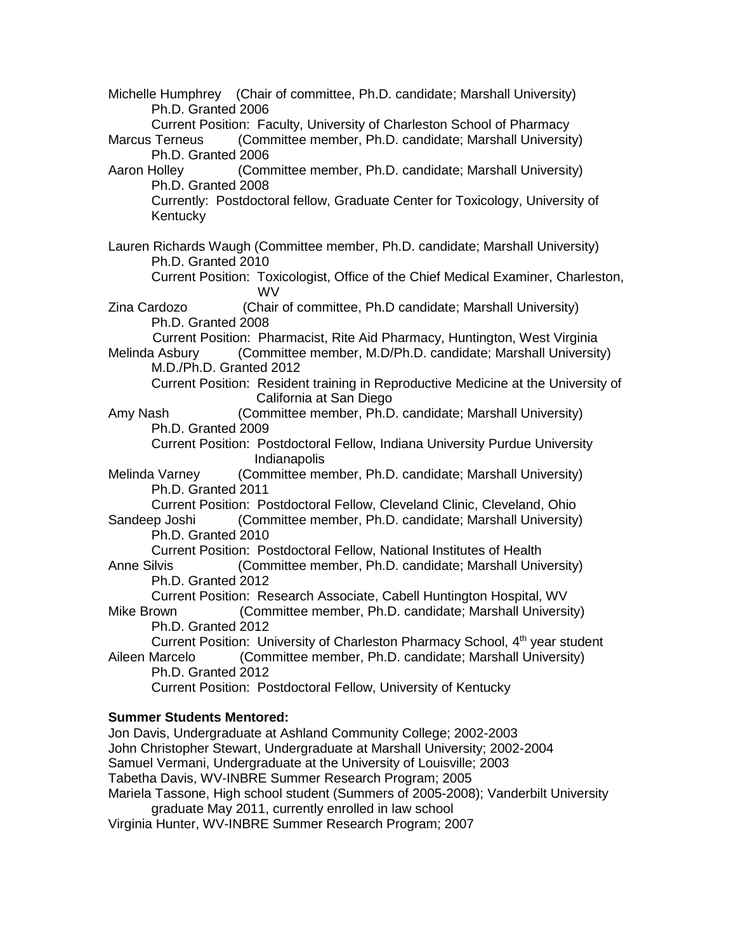Michelle Humphrey (Chair of committee, Ph.D. candidate; Marshall University) Ph.D. Granted 2006 Current Position: Faculty, University of Charleston School of Pharmacy Marcus Terneus (Committee member, Ph.D. candidate; Marshall University) Ph.D. Granted 2006 Aaron Holley (Committee member, Ph.D. candidate; Marshall University) Ph.D. Granted 2008 Currently: Postdoctoral fellow, Graduate Center for Toxicology, University of Kentucky Lauren Richards Waugh (Committee member, Ph.D. candidate; Marshall University) Ph.D. Granted 2010 Current Position: Toxicologist, Office of the Chief Medical Examiner, Charleston, WV Zina Cardozo (Chair of committee, Ph.D candidate; Marshall University) Ph.D. Granted 2008 Current Position: Pharmacist, Rite Aid Pharmacy, Huntington, West Virginia Melinda Asbury (Committee member, M.D/Ph.D. candidate; Marshall University) M.D./Ph.D. Granted 2012 Current Position: Resident training in Reproductive Medicine at the University of California at San Diego Amy Nash (Committee member, Ph.D. candidate; Marshall University) Ph.D. Granted 2009 Current Position: Postdoctoral Fellow, Indiana University Purdue University Indianapolis Melinda Varney (Committee member, Ph.D. candidate; Marshall University) Ph.D. Granted 2011 Current Position: Postdoctoral Fellow, Cleveland Clinic, Cleveland, Ohio Sandeep Joshi (Committee member, Ph.D. candidate; Marshall University) Ph.D. Granted 2010 Current Position: Postdoctoral Fellow, National Institutes of Health Anne Silvis (Committee member, Ph.D. candidate; Marshall University) Ph.D. Granted 2012 Current Position: Research Associate, Cabell Huntington Hospital, WV Mike Brown (Committee member, Ph.D. candidate; Marshall University) Ph.D. Granted 2012 Current Position: University of Charleston Pharmacy School, 4<sup>th</sup> year student Aileen Marcelo (Committee member, Ph.D. candidate; Marshall University) Ph.D. Granted 2012 Current Position: Postdoctoral Fellow, University of Kentucky **Summer Students Mentored:** Jon Davis, Undergraduate at Ashland Community College; 2002-2003 John Christopher Stewart, Undergraduate at Marshall University; 2002-2004 Samuel Vermani, Undergraduate at the University of Louisville; 2003 Tabetha Davis, WV-INBRE Summer Research Program; 2005

Mariela Tassone, High school student (Summers of 2005-2008); Vanderbilt University graduate May 2011, currently enrolled in law school

Virginia Hunter, WV-INBRE Summer Research Program; 2007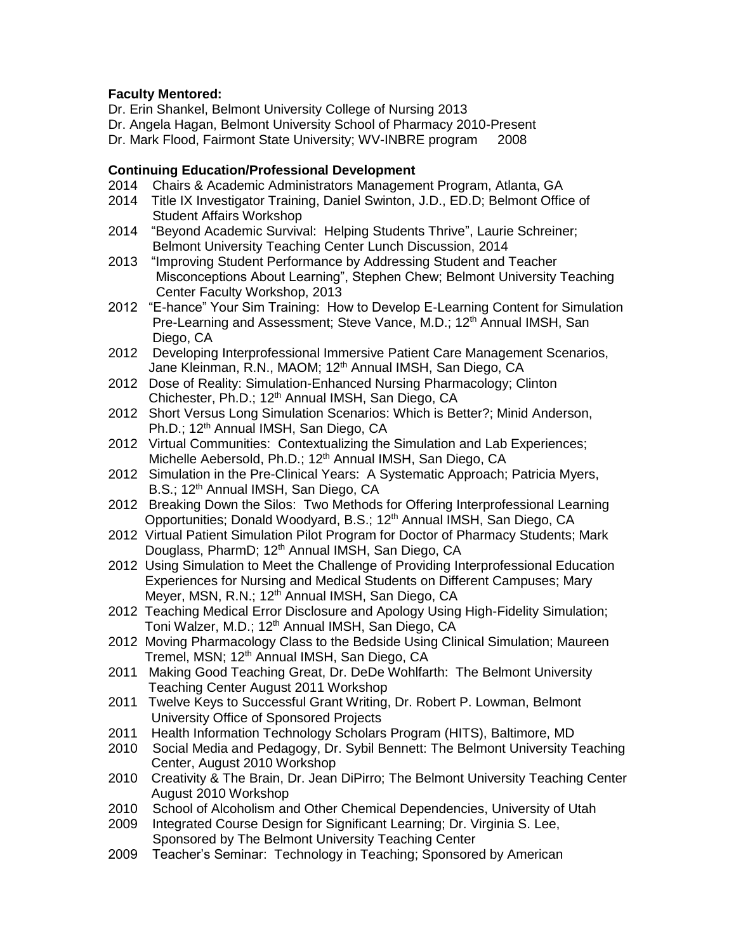## **Faculty Mentored:**

- Dr. Erin Shankel, Belmont University College of Nursing 2013
- Dr. Angela Hagan, Belmont University School of Pharmacy 2010-Present
- Dr. Mark Flood, Fairmont State University; WV-INBRE program 2008

## **Continuing Education/Professional Development**

- 2014 Chairs & Academic Administrators Management Program, Atlanta, GA
- 2014 Title IX Investigator Training, Daniel Swinton, J.D., ED.D; Belmont Office of Student Affairs Workshop
- 2014 "Beyond Academic Survival: Helping Students Thrive", Laurie Schreiner; Belmont University Teaching Center Lunch Discussion, 2014
- 2013 "Improving Student Performance by Addressing Student and Teacher Misconceptions About Learning", Stephen Chew; Belmont University Teaching Center Faculty Workshop, 2013
- 2012 "E-hance" Your Sim Training: How to Develop E-Learning Content for Simulation Pre-Learning and Assessment; Steve Vance, M.D.; 12<sup>th</sup> Annual IMSH, San Diego, CA
- 2012 Developing Interprofessional Immersive Patient Care Management Scenarios, Jane Kleinman, R.N., MAOM; 12<sup>th</sup> Annual IMSH, San Diego, CA
- 2012 Dose of Reality: Simulation-Enhanced Nursing Pharmacology; Clinton Chichester, Ph.D.; 12<sup>th</sup> Annual IMSH, San Diego, CA
- 2012 Short Versus Long Simulation Scenarios: Which is Better?; Minid Anderson, Ph.D.; 12<sup>th</sup> Annual IMSH, San Diego, CA
- 2012 Virtual Communities: Contextualizing the Simulation and Lab Experiences; Michelle Aebersold, Ph.D.; 12<sup>th</sup> Annual IMSH, San Diego, CA
- 2012 Simulation in the Pre-Clinical Years: A Systematic Approach; Patricia Myers, B.S.; 12<sup>th</sup> Annual IMSH, San Diego, CA
- 2012 Breaking Down the Silos: Two Methods for Offering Interprofessional Learning Opportunities; Donald Woodyard, B.S.; 12<sup>th</sup> Annual IMSH, San Diego, CA
- 2012 Virtual Patient Simulation Pilot Program for Doctor of Pharmacy Students; Mark Douglass, PharmD; 12<sup>th</sup> Annual IMSH, San Diego, CA
- 2012 Using Simulation to Meet the Challenge of Providing Interprofessional Education Experiences for Nursing and Medical Students on Different Campuses; Mary Meyer, MSN, R.N.; 12<sup>th</sup> Annual IMSH, San Diego, CA
- 2012 Teaching Medical Error Disclosure and Apology Using High-Fidelity Simulation; Toni Walzer, M.D.; 12<sup>th</sup> Annual IMSH, San Diego, CA
- 2012 Moving Pharmacology Class to the Bedside Using Clinical Simulation; Maureen Tremel, MSN; 12<sup>th</sup> Annual IMSH, San Diego, CA
- 2011 Making Good Teaching Great, Dr. DeDe Wohlfarth: The Belmont University Teaching Center August 2011 Workshop
- 2011 Twelve Keys to Successful Grant Writing, Dr. Robert P. Lowman, Belmont University Office of Sponsored Projects
- 2011 Health Information Technology Scholars Program (HITS), Baltimore, MD
- 2010 Social Media and Pedagogy, Dr. Sybil Bennett: The Belmont University Teaching Center, August 2010 Workshop
- 2010 Creativity & The Brain, Dr. Jean DiPirro; The Belmont University Teaching Center August 2010 Workshop
- 2010 School of Alcoholism and Other Chemical Dependencies, University of Utah
- 2009 Integrated Course Design for Significant Learning; Dr. Virginia S. Lee, Sponsored by The Belmont University Teaching Center
- 2009 Teacher's Seminar: Technology in Teaching; Sponsored by American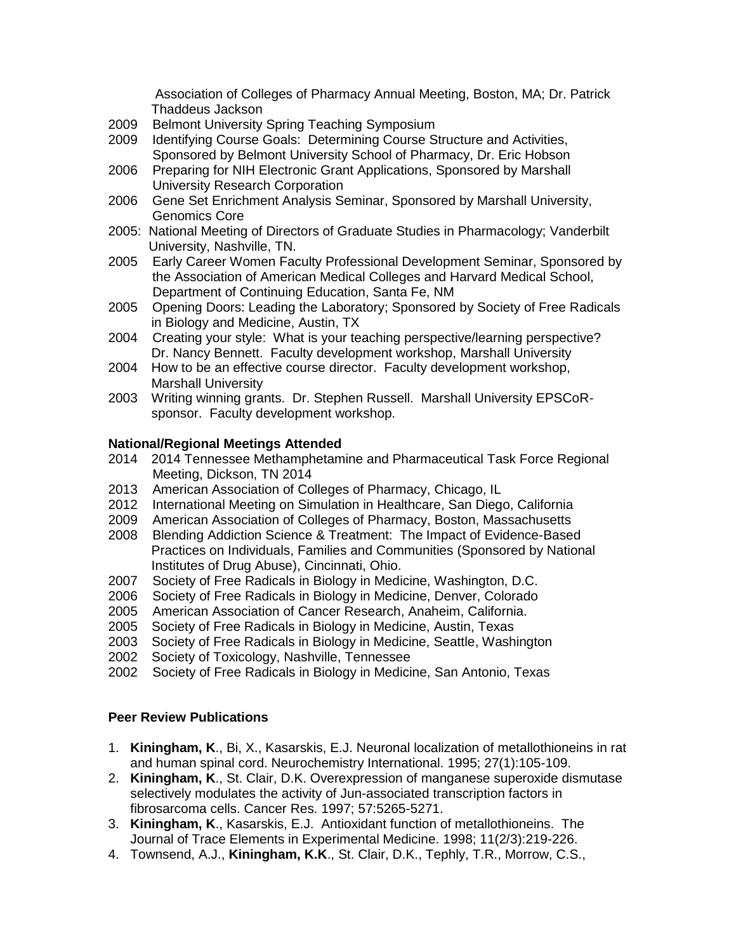Association of Colleges of Pharmacy Annual Meeting, Boston, MA; Dr. Patrick Thaddeus Jackson

- 2009 Belmont University Spring Teaching Symposium
- 2009Identifying Course Goals: Determining Course Structure and Activities, Sponsored by Belmont University School of Pharmacy, Dr. Eric Hobson
- 2006 Preparing for NIH Electronic Grant Applications, Sponsored by Marshall University Research Corporation
- 2006 Gene Set Enrichment Analysis Seminar, Sponsored by Marshall University, Genomics Core
- 2005: National Meeting of Directors of Graduate Studies in Pharmacology; Vanderbilt University, Nashville, TN.
- 2005 Early Career Women Faculty Professional Development Seminar, Sponsored by the Association of American Medical Colleges and Harvard Medical School, Department of Continuing Education, Santa Fe, NM
- 2005 Opening Doors: Leading the Laboratory; Sponsored by Society of Free Radicals in Biology and Medicine, Austin, TX
- 2004 Creating your style: What is your teaching perspective/learning perspective? Dr. Nancy Bennett. Faculty development workshop, Marshall University
- 2004 How to be an effective course director. Faculty development workshop, Marshall University
- 2003 Writing winning grants. Dr. Stephen Russell. Marshall University EPSCoRsponsor. Faculty development workshop.

### **National/Regional Meetings Attended**

- 2014 2014 Tennessee Methamphetamine and Pharmaceutical Task Force Regional Meeting, Dickson, TN 2014
- 2013 American Association of Colleges of Pharmacy, Chicago, IL
- 2012 International Meeting on Simulation in Healthcare, San Diego, California
- 2009 American Association of Colleges of Pharmacy, Boston, Massachusetts
- 2008 Blending Addiction Science & Treatment: The Impact of Evidence-Based Practices on Individuals, Families and Communities (Sponsored by National Institutes of Drug Abuse), Cincinnati, Ohio.
- 2007 Society of Free Radicals in Biology in Medicine, Washington, D.C.
- 2006 Society of Free Radicals in Biology in Medicine, Denver, Colorado
- 2005 American Association of Cancer Research, Anaheim, California.
- 2005 Society of Free Radicals in Biology in Medicine, Austin, Texas
- 2003 Society of Free Radicals in Biology in Medicine, Seattle, Washington
- 2002 Society of Toxicology, Nashville, Tennessee
- 2002 Society of Free Radicals in Biology in Medicine, San Antonio, Texas

### **Peer Review Publications**

- 1. **Kiningham, K**., Bi, X., Kasarskis, E.J. Neuronal localization of metallothioneins in rat and human spinal cord. Neurochemistry International. 1995; 27(1):105-109.
- 2. **Kiningham, K**., St. Clair, D.K. Overexpression of manganese superoxide dismutase selectively modulates the activity of Jun-associated transcription factors in fibrosarcoma cells. Cancer Res. 1997; 57:5265-5271.
- 3. **Kiningham, K**., Kasarskis, E.J. Antioxidant function of metallothioneins. The Journal of Trace Elements in Experimental Medicine. 1998; 11(2/3):219-226.
- 4. Townsend, A.J., **Kiningham, K.K**., St. Clair, D.K., Tephly, T.R., Morrow, C.S.,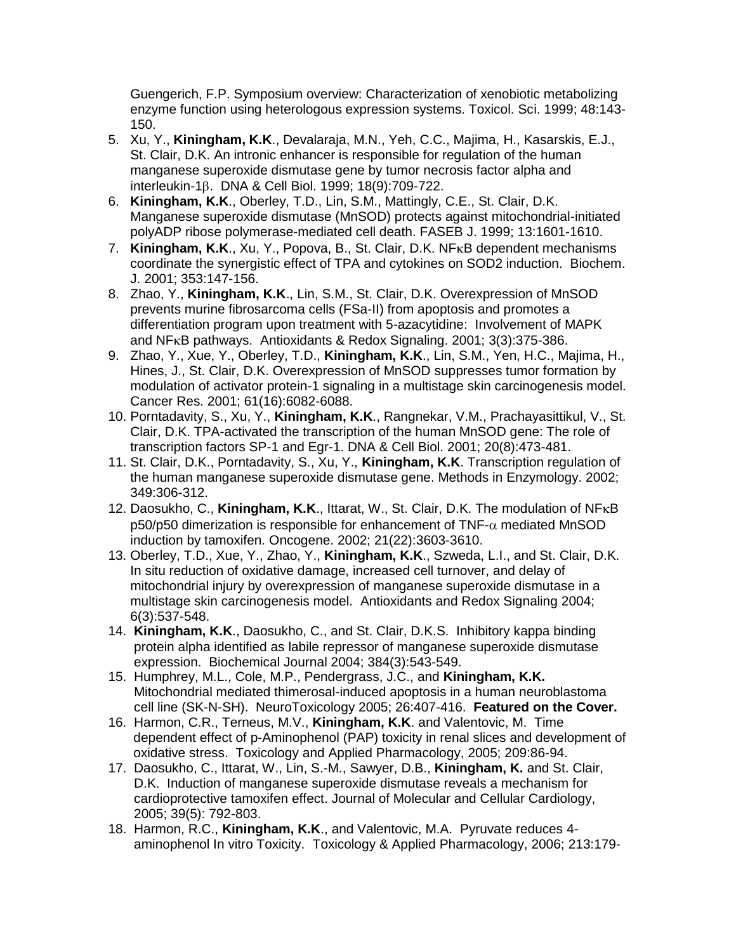Guengerich, F.P. Symposium overview: Characterization of xenobiotic metabolizing enzyme function using heterologous expression systems. Toxicol. Sci. 1999; 48:143- 150.

- 5. Xu, Y., **Kiningham, K.K**., Devalaraja, M.N., Yeh, C.C., Majima, H., Kasarskis, E.J., St. Clair, D.K. An intronic enhancer is responsible for regulation of the human manganese superoxide dismutase gene by tumor necrosis factor alpha and interleukin-18. DNA & Cell Biol. 1999: 18(9):709-722.
- 6. **Kiningham, K.K**., Oberley, T.D., Lin, S.M., Mattingly, C.E., St. Clair, D.K. Manganese superoxide dismutase (MnSOD) protects against mitochondrial-initiated polyADP ribose polymerase-mediated cell death. FASEB J. 1999; 13:1601-1610.
- 7. **Kiningham, K.K., Xu, Y., Popova, B., St. Clair, D.K. NF<sub>K</sub>B dependent mechanisms**  coordinate the synergistic effect of TPA and cytokines on SOD2 induction. Biochem. J. 2001; 353:147-156.
- 8. Zhao, Y., **Kiningham, K.K**., Lin, S.M., St. Clair, D.K. Overexpression of MnSOD prevents murine fibrosarcoma cells (FSa-II) from apoptosis and promotes a differentiation program upon treatment with 5-azacytidine: Involvement of MAPK and  $NF<sub>K</sub>B$  pathways. Antioxidants & Redox Signaling. 2001; 3(3):375-386.
- 9. Zhao, Y., Xue, Y., Oberley, T.D., **Kiningham, K.K**., Lin, S.M., Yen, H.C., Majima, H., Hines, J., St. Clair, D.K. Overexpression of MnSOD suppresses tumor formation by modulation of activator protein-1 signaling in a multistage skin carcinogenesis model. Cancer Res. 2001; 61(16):6082-6088.
- 10. Porntadavity, S., Xu, Y., **Kiningham, K.K**., Rangnekar, V.M., Prachayasittikul, V., St. Clair, D.K. TPA-activated the transcription of the human MnSOD gene: The role of transcription factors SP-1 and Egr-1. DNA & Cell Biol. 2001; 20(8):473-481.
- 11. St. Clair, D.K., Porntadavity, S., Xu, Y., **Kiningham, K.K**. Transcription regulation of the human manganese superoxide dismutase gene. Methods in Enzymology. 2002; 349:306-312.
- 12. Daosukho, C., Kiningham, K.K., Ittarat, W., St. Clair, D.K. The modulation of NF<sub>K</sub>B  $p50/p50$  dimerization is responsible for enhancement of TNF- $\alpha$  mediated MnSOD induction by tamoxifen. Oncogene. 2002; 21(22):3603-3610.
- 13. Oberley, T.D., Xue, Y., Zhao, Y., **Kiningham, K.K**., Szweda, L.I., and St. Clair, D.K. In situ reduction of oxidative damage, increased cell turnover, and delay of mitochondrial injury by overexpression of manganese superoxide dismutase in a multistage skin carcinogenesis model. Antioxidants and Redox Signaling 2004; 6(3):537-548.
- 14. **Kiningham, K.K**., Daosukho, C., and St. Clair, D.K.S. Inhibitory kappa binding protein alpha identified as labile repressor of manganese superoxide dismutase expression. Biochemical Journal 2004; 384(3):543-549.
- 15. Humphrey, M.L., Cole, M.P., Pendergrass, J.C., and **Kiningham, K.K.** Mitochondrial mediated thimerosal-induced apoptosis in a human neuroblastoma cell line (SK-N-SH). NeuroToxicology 2005; 26:407-416. **Featured on the Cover.**
- 16. Harmon, C.R., Terneus, M.V., **Kiningham, K.K**. and Valentovic, M. Time dependent effect of p-Aminophenol (PAP) toxicity in renal slices and development of oxidative stress. Toxicology and Applied Pharmacology, 2005; 209:86-94.
- 17. Daosukho, C., Ittarat, W., Lin, S.-M., Sawyer, D.B., **Kiningham, K.** and St. Clair, D.K. Induction of manganese superoxide dismutase reveals a mechanism for cardioprotective tamoxifen effect. Journal of Molecular and Cellular Cardiology, 2005; 39(5): 792-803.
- 18. Harmon, R.C., **Kiningham, K.K**., and Valentovic, M.A. Pyruvate reduces 4 aminophenol In vitro Toxicity. Toxicology & Applied Pharmacology, 2006; 213:179-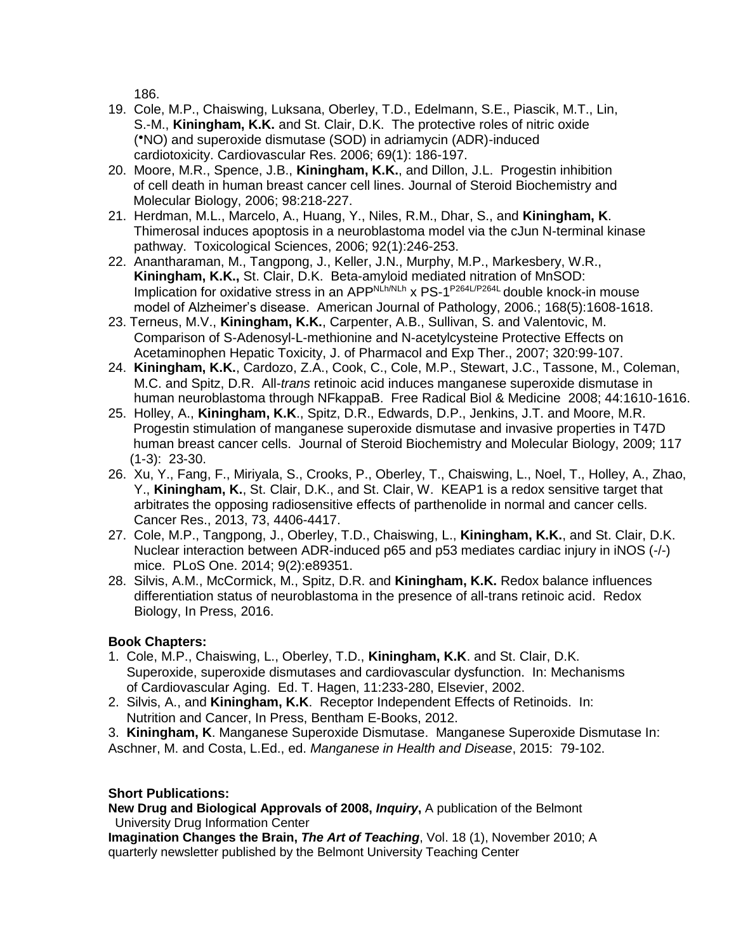186.

- 19. Cole, M.P., Chaiswing, Luksana, Oberley, T.D., Edelmann, S.E., Piascik, M.T., Lin, S.-M., **Kiningham, K.K.** and St. Clair, D.K. The protective roles of nitric oxide ( ●NO) and superoxide dismutase (SOD) in adriamycin (ADR)-induced cardiotoxicity. Cardiovascular Res. 2006; 69(1): 186-197.
- 20. Moore, M.R., Spence, J.B., **Kiningham, K.K.**, and Dillon, J.L. Progestin inhibition of cell death in human breast cancer cell lines. Journal of Steroid Biochemistry and Molecular Biology, 2006; 98:218-227.
- 21. Herdman, M.L., Marcelo, A., Huang, Y., Niles, R.M., Dhar, S., and **Kiningham, K**. Thimerosal induces apoptosis in a neuroblastoma model via the cJun N-terminal kinase pathway. Toxicological Sciences, 2006; 92(1):246-253.
- 22. Anantharaman, M., Tangpong, J., Keller, J.N., Murphy, M.P., Markesbery, W.R., **Kiningham, K.K.,** St. Clair, D.K. Beta-amyloid mediated nitration of MnSOD: Implication for oxidative stress in an APP<sup>NLh/NLh</sup> x PS-1<sup>P264L/P264L</sup> double knock-in mouse model of Alzheimer's disease. American Journal of Pathology, 2006.; 168(5):1608-1618.
- 23. Terneus, M.V., **Kiningham, K.K.**, Carpenter, A.B., Sullivan, S. and Valentovic, M. Comparison of S-Adenosyl-L-methionine and N-acetylcysteine Protective Effects on Acetaminophen Hepatic Toxicity, J. of Pharmacol and Exp Ther., 2007; 320:99-107.
- 24. **Kiningham, K.K.**, Cardozo, Z.A., Cook, C., Cole, M.P., Stewart, J.C., Tassone, M., Coleman, M.C. and Spitz, D.R. All-*trans* retinoic acid induces manganese superoxide dismutase in human neuroblastoma through NFkappaB. Free Radical Biol & Medicine 2008; 44:1610-1616.
- 25. Holley, A., **Kiningham, K.K**., Spitz, D.R., Edwards, D.P., Jenkins, J.T. and Moore, M.R. Progestin stimulation of manganese superoxide dismutase and invasive properties in T47D human breast cancer cells. Journal of Steroid Biochemistry and Molecular Biology, 2009; 117 (1-3): 23-30.
- 26. Xu, Y., Fang, F., Miriyala, S., Crooks, P., Oberley, T., Chaiswing, L., Noel, T., Holley, A., Zhao, Y., **Kiningham, K.**, St. Clair, D.K., and St. Clair, W. KEAP1 is a redox sensitive target that arbitrates the opposing radiosensitive effects of parthenolide in normal and cancer cells. Cancer Res., 2013, 73, 4406-4417.
- 27. Cole, M.P., Tangpong, J., Oberley, T.D., Chaiswing, L., **Kiningham, K.K.**, and St. Clair, D.K. Nuclear interaction between ADR-induced p65 and p53 mediates cardiac injury in iNOS (-/-) mice. PLoS One. 2014; 9(2):e89351.
- 28. Silvis, A.M., McCormick, M., Spitz, D.R. and **Kiningham, K.K.** Redox balance influences differentiation status of neuroblastoma in the presence of all-trans retinoic acid. Redox Biology, In Press, 2016.

# **Book Chapters:**

- 1. Cole, M.P., Chaiswing, L., Oberley, T.D., **Kiningham, K.K**. and St. Clair, D.K. Superoxide, superoxide dismutases and cardiovascular dysfunction. In: Mechanisms of Cardiovascular Aging. Ed. T. Hagen, 11:233-280, Elsevier, 2002.
- 2. Silvis, A., and **Kiningham, K.K**. Receptor Independent Effects of Retinoids. In: Nutrition and Cancer, In Press, Bentham E-Books, 2012.

3. **Kiningham, K**. Manganese Superoxide Dismutase. Manganese Superoxide Dismutase In: Aschner, M. and Costa, L.Ed., ed. *Manganese in Health and Disease*, 2015: 79-102.

# **Short Publications:**

**New Drug and Biological Approvals of 2008,** *Inquiry***,** A publication of the Belmont University Drug Information Center

**Imagination Changes the Brain,** *The Art of Teaching*, Vol. 18 (1), November 2010; A quarterly newsletter published by the Belmont University Teaching Center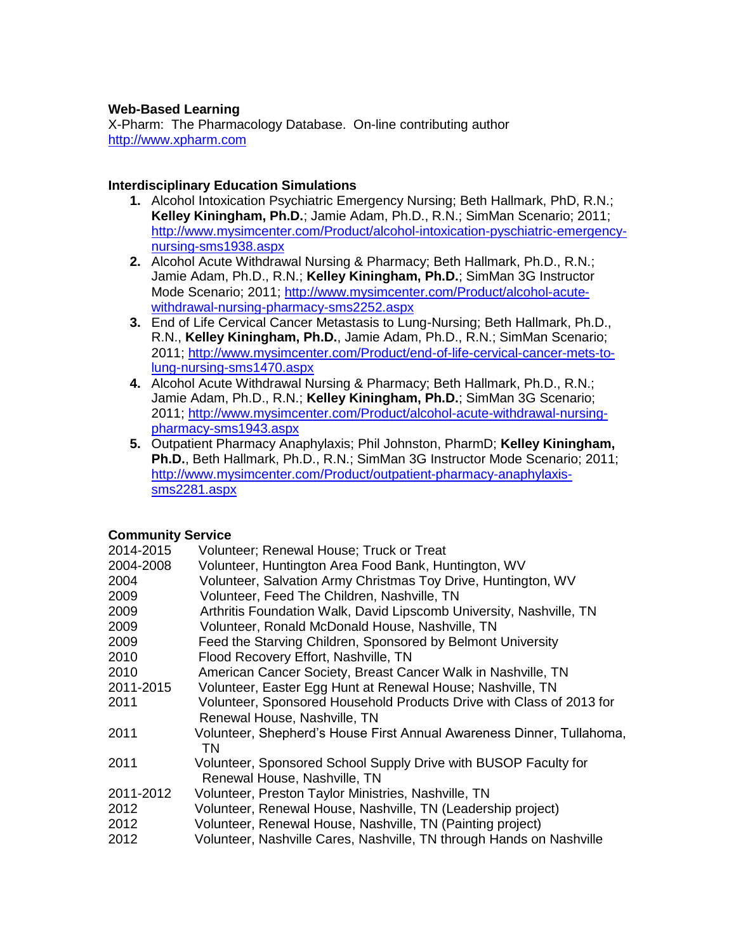## **Web-Based Learning**

X-Pharm: The Pharmacology Database. On-line contributing author [http://www.xpharm.com](http://www.xpharm.com/)

## **Interdisciplinary Education Simulations**

- **1.** Alcohol Intoxication Psychiatric Emergency Nursing; Beth Hallmark, PhD, R.N.; **Kelley Kiningham, Ph.D.**; Jamie Adam, Ph.D., R.N.; SimMan Scenario; 2011; [http://www.mysimcenter.com/Product/alcohol-intoxication-pyschiatric-emergency](http://www.mysimcenter.com/Product/alcohol-intoxication-pyschiatric-emergency-nursing-sms1938.aspx)[nursing-sms1938.aspx](http://www.mysimcenter.com/Product/alcohol-intoxication-pyschiatric-emergency-nursing-sms1938.aspx)
- **2.** Alcohol Acute Withdrawal Nursing & Pharmacy; Beth Hallmark, Ph.D., R.N.; Jamie Adam, Ph.D., R.N.; **Kelley Kiningham, Ph.D.**; SimMan 3G Instructor Mode Scenario; 2011; [http://www.mysimcenter.com/Product/alcohol-acute](http://www.mysimcenter.com/Product/alcohol-acute-withdrawal-nursing-pharmacy-sms2252.aspx)[withdrawal-nursing-pharmacy-sms2252.aspx](http://www.mysimcenter.com/Product/alcohol-acute-withdrawal-nursing-pharmacy-sms2252.aspx)
- **3.** End of Life Cervical Cancer Metastasis to Lung-Nursing; Beth Hallmark, Ph.D., R.N., **Kelley Kiningham, Ph.D.**, Jamie Adam, Ph.D., R.N.; SimMan Scenario; 2011; [http://www.mysimcenter.com/Product/end-of-life-cervical-cancer-mets-to](http://www.mysimcenter.com/Product/end-of-life-cervical-cancer-mets-to-lung-nursing-sms1470.aspx)[lung-nursing-sms1470.aspx](http://www.mysimcenter.com/Product/end-of-life-cervical-cancer-mets-to-lung-nursing-sms1470.aspx)
- **4.** Alcohol Acute Withdrawal Nursing & Pharmacy; Beth Hallmark, Ph.D., R.N.; Jamie Adam, Ph.D., R.N.; **Kelley Kiningham, Ph.D.**; SimMan 3G Scenario; 2011; [http://www.mysimcenter.com/Product/alcohol-acute-withdrawal-nursing](http://www.mysimcenter.com/Product/alcohol-acute-withdrawal-nursing-pharmacy-sms1943.aspx)[pharmacy-sms1943.aspx](http://www.mysimcenter.com/Product/alcohol-acute-withdrawal-nursing-pharmacy-sms1943.aspx)
- **5.** Outpatient Pharmacy Anaphylaxis; Phil Johnston, PharmD; **Kelley Kiningham, Ph.D.**, Beth Hallmark, Ph.D., R.N.; SimMan 3G Instructor Mode Scenario; 2011; [http://www.mysimcenter.com/Product/outpatient-pharmacy-anaphylaxis](http://www.mysimcenter.com/Product/outpatient-pharmacy-anaphylaxis-sms2281.aspx)[sms2281.aspx](http://www.mysimcenter.com/Product/outpatient-pharmacy-anaphylaxis-sms2281.aspx)

# **Community Service**

| 2014-2015 | Volunteer; Renewal House; Truck or Treat                                                             |
|-----------|------------------------------------------------------------------------------------------------------|
| 2004-2008 | Volunteer, Huntington Area Food Bank, Huntington, WV                                                 |
| 2004      | Volunteer, Salvation Army Christmas Toy Drive, Huntington, WV                                        |
| 2009      | Volunteer, Feed The Children, Nashville, TN                                                          |
| 2009      | Arthritis Foundation Walk, David Lipscomb University, Nashville, TN                                  |
| 2009      | Volunteer, Ronald McDonald House, Nashville, TN                                                      |
| 2009      | Feed the Starving Children, Sponsored by Belmont University                                          |
| 2010      | Flood Recovery Effort, Nashville, TN                                                                 |
| 2010      | American Cancer Society, Breast Cancer Walk in Nashville, TN                                         |
| 2011-2015 | Volunteer, Easter Egg Hunt at Renewal House; Nashville, TN                                           |
| 2011      | Volunteer, Sponsored Household Products Drive with Class of 2013 for<br>Renewal House, Nashville, TN |
| 2011      | Volunteer, Shepherd's House First Annual Awareness Dinner, Tullahoma,<br>ΤN                          |
| 2011      | Volunteer, Sponsored School Supply Drive with BUSOP Faculty for<br>Renewal House, Nashville, TN      |
| 2011-2012 | Volunteer, Preston Taylor Ministries, Nashville, TN                                                  |
| 2012      | Volunteer, Renewal House, Nashville, TN (Leadership project)                                         |
| 2012      | Volunteer, Renewal House, Nashville, TN (Painting project)                                           |
| 2012      | Volunteer, Nashville Cares, Nashville, TN through Hands on Nashville                                 |
|           |                                                                                                      |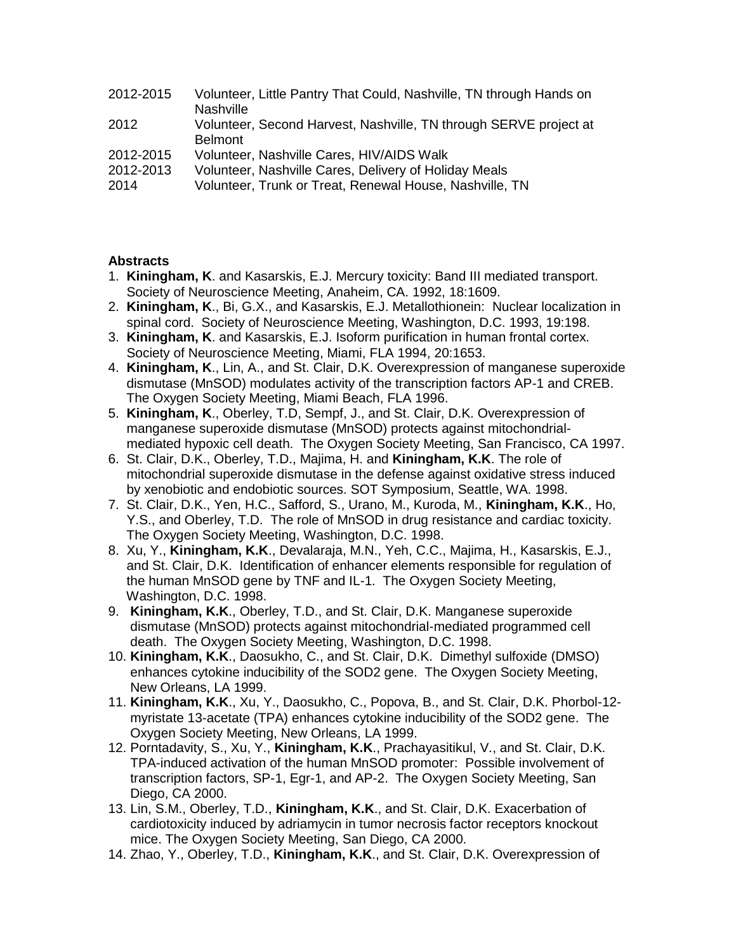| 2012-2015 | Volunteer, Little Pantry That Could, Nashville, TN through Hands on |
|-----------|---------------------------------------------------------------------|
|           | <b>Nashville</b>                                                    |
| 2012      | Volunteer, Second Harvest, Nashville, TN through SERVE project at   |
|           | <b>Belmont</b>                                                      |
| 2012-2015 | Volunteer, Nashville Cares, HIV/AIDS Walk                           |
| 2012-2013 | Volunteer, Nashville Cares, Delivery of Holiday Meals               |
| 2014      | Volunteer, Trunk or Treat, Renewal House, Nashville, TN             |

### **Abstracts**

- 1. **Kiningham, K**. and Kasarskis, E.J. Mercury toxicity: Band III mediated transport. Society of Neuroscience Meeting, Anaheim, CA. 1992, 18:1609.
- 2. **Kiningham, K**., Bi, G.X., and Kasarskis, E.J. Metallothionein: Nuclear localization in spinal cord. Society of Neuroscience Meeting, Washington, D.C. 1993, 19:198.
- 3. **Kiningham, K**. and Kasarskis, E.J. Isoform purification in human frontal cortex. Society of Neuroscience Meeting, Miami, FLA 1994, 20:1653.
- 4. **Kiningham, K**., Lin, A., and St. Clair, D.K. Overexpression of manganese superoxide dismutase (MnSOD) modulates activity of the transcription factors AP-1 and CREB. The Oxygen Society Meeting, Miami Beach, FLA 1996.
- 5. **Kiningham, K**., Oberley, T.D, Sempf, J., and St. Clair, D.K. Overexpression of manganese superoxide dismutase (MnSOD) protects against mitochondrial mediated hypoxic cell death. The Oxygen Society Meeting, San Francisco, CA 1997.
- 6. St. Clair, D.K., Oberley, T.D., Majima, H. and **Kiningham, K.K**. The role of mitochondrial superoxide dismutase in the defense against oxidative stress induced by xenobiotic and endobiotic sources. SOT Symposium, Seattle, WA. 1998.
- 7. St. Clair, D.K., Yen, H.C., Safford, S., Urano, M., Kuroda, M., **Kiningham, K.K**., Ho, Y.S., and Oberley, T.D. The role of MnSOD in drug resistance and cardiac toxicity. The Oxygen Society Meeting, Washington, D.C. 1998.
- 8. Xu, Y., **Kiningham, K.K**., Devalaraja, M.N., Yeh, C.C., Majima, H., Kasarskis, E.J., and St. Clair, D.K. Identification of enhancer elements responsible for regulation of the human MnSOD gene by TNF and IL-1. The Oxygen Society Meeting, Washington, D.C. 1998.
- 9. **Kiningham, K.K**., Oberley, T.D., and St. Clair, D.K. Manganese superoxide dismutase (MnSOD) protects against mitochondrial-mediated programmed cell death. The Oxygen Society Meeting, Washington, D.C. 1998.
- 10. **Kiningham, K.K**., Daosukho, C., and St. Clair, D.K. Dimethyl sulfoxide (DMSO) enhances cytokine inducibility of the SOD2 gene. The Oxygen Society Meeting, New Orleans, LA 1999.
- 11. **Kiningham, K.K**., Xu, Y., Daosukho, C., Popova, B., and St. Clair, D.K. Phorbol-12 myristate 13-acetate (TPA) enhances cytokine inducibility of the SOD2 gene. The Oxygen Society Meeting, New Orleans, LA 1999.
- 12. Porntadavity, S., Xu, Y., **Kiningham, K.K**., Prachayasitikul, V., and St. Clair, D.K. TPA-induced activation of the human MnSOD promoter: Possible involvement of transcription factors, SP-1, Egr-1, and AP-2. The Oxygen Society Meeting, San Diego, CA 2000.
- 13. Lin, S.M., Oberley, T.D., **Kiningham, K.K**., and St. Clair, D.K. Exacerbation of cardiotoxicity induced by adriamycin in tumor necrosis factor receptors knockout mice. The Oxygen Society Meeting, San Diego, CA 2000.
- 14. Zhao, Y., Oberley, T.D., **Kiningham, K.K**., and St. Clair, D.K. Overexpression of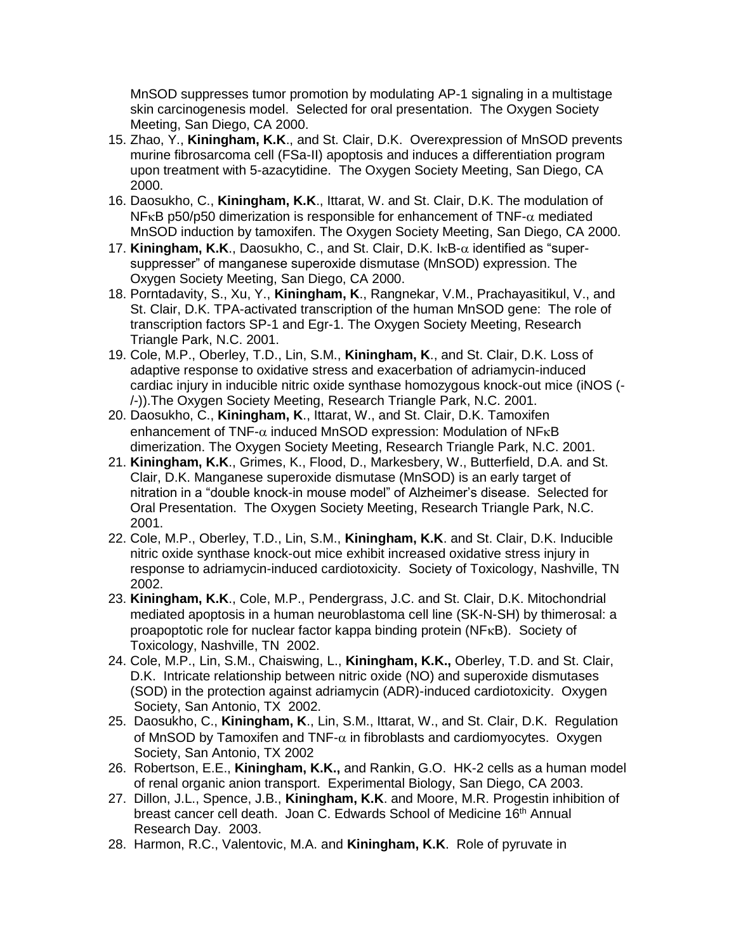MnSOD suppresses tumor promotion by modulating AP-1 signaling in a multistage skin carcinogenesis model. Selected for oral presentation. The Oxygen Society Meeting, San Diego, CA 2000.

- 15. Zhao, Y., **Kiningham, K.K**., and St. Clair, D.K. Overexpression of MnSOD prevents murine fibrosarcoma cell (FSa-II) apoptosis and induces a differentiation program upon treatment with 5-azacytidine. The Oxygen Society Meeting, San Diego, CA 2000.
- 16. Daosukho, C., **Kiningham, K.K**., Ittarat, W. and St. Clair, D.K. The modulation of NF<sub>K</sub>B p50/p50 dimerization is responsible for enhancement of TNF- $\alpha$  mediated MnSOD induction by tamoxifen. The Oxygen Society Meeting, San Diego, CA 2000.
- 17. **Kiningham, K.K., Daosukho, C., and St. Clair, D.K. IKB-** $\alpha$  **identified as "super** suppresser" of manganese superoxide dismutase (MnSOD) expression. The Oxygen Society Meeting, San Diego, CA 2000.
- 18. Porntadavity, S., Xu, Y., **Kiningham, K**., Rangnekar, V.M., Prachayasitikul, V., and St. Clair, D.K. TPA-activated transcription of the human MnSOD gene: The role of transcription factors SP-1 and Egr-1. The Oxygen Society Meeting, Research Triangle Park, N.C. 2001.
- 19. Cole, M.P., Oberley, T.D., Lin, S.M., **Kiningham, K**., and St. Clair, D.K. Loss of adaptive response to oxidative stress and exacerbation of adriamycin-induced cardiac injury in inducible nitric oxide synthase homozygous knock-out mice (iNOS (- /-)).The Oxygen Society Meeting, Research Triangle Park, N.C. 2001.
- 20. Daosukho, C., **Kiningham, K**., Ittarat, W., and St. Clair, D.K. Tamoxifen enhancement of TNF- $\alpha$  induced MnSOD expression: Modulation of NF $\kappa$ B dimerization. The Oxygen Society Meeting, Research Triangle Park, N.C. 2001.
- 21. **Kiningham, K.K**., Grimes, K., Flood, D., Markesbery, W., Butterfield, D.A. and St. Clair, D.K. Manganese superoxide dismutase (MnSOD) is an early target of nitration in a "double knock-in mouse model" of Alzheimer's disease. Selected for Oral Presentation. The Oxygen Society Meeting, Research Triangle Park, N.C. 2001.
- 22. Cole, M.P., Oberley, T.D., Lin, S.M., **Kiningham, K.K**. and St. Clair, D.K. Inducible nitric oxide synthase knock-out mice exhibit increased oxidative stress injury in response to adriamycin-induced cardiotoxicity. Society of Toxicology, Nashville, TN 2002.
- 23. **Kiningham, K.K**., Cole, M.P., Pendergrass, J.C. and St. Clair, D.K. Mitochondrial mediated apoptosis in a human neuroblastoma cell line (SK-N-SH) by thimerosal: a proapoptotic role for nuclear factor kappa binding protein  $(NF<sub>K</sub>B)$ . Society of Toxicology, Nashville, TN 2002.
- 24. Cole, M.P., Lin, S.M., Chaiswing, L., **Kiningham, K.K.,** Oberley, T.D. and St. Clair, D.K. Intricate relationship between nitric oxide (NO) and superoxide dismutases (SOD) in the protection against adriamycin (ADR)-induced cardiotoxicity. Oxygen Society, San Antonio, TX 2002.
- 25. Daosukho, C., **Kiningham, K**., Lin, S.M., Ittarat, W., and St. Clair, D.K. Regulation of MnSOD by Tamoxifen and TNF- $\alpha$  in fibroblasts and cardiomyocytes. Oxygen Society, San Antonio, TX 2002
- 26. Robertson, E.E., **Kiningham, K.K.,** and Rankin, G.O. HK-2 cells as a human model of renal organic anion transport. Experimental Biology, San Diego, CA 2003.
- 27. Dillon, J.L., Spence, J.B., **Kiningham, K.K**. and Moore, M.R. Progestin inhibition of breast cancer cell death. Joan C. Edwards School of Medicine 16<sup>th</sup> Annual Research Day. 2003.
- 28. Harmon, R.C., Valentovic, M.A. and **Kiningham, K.K**. Role of pyruvate in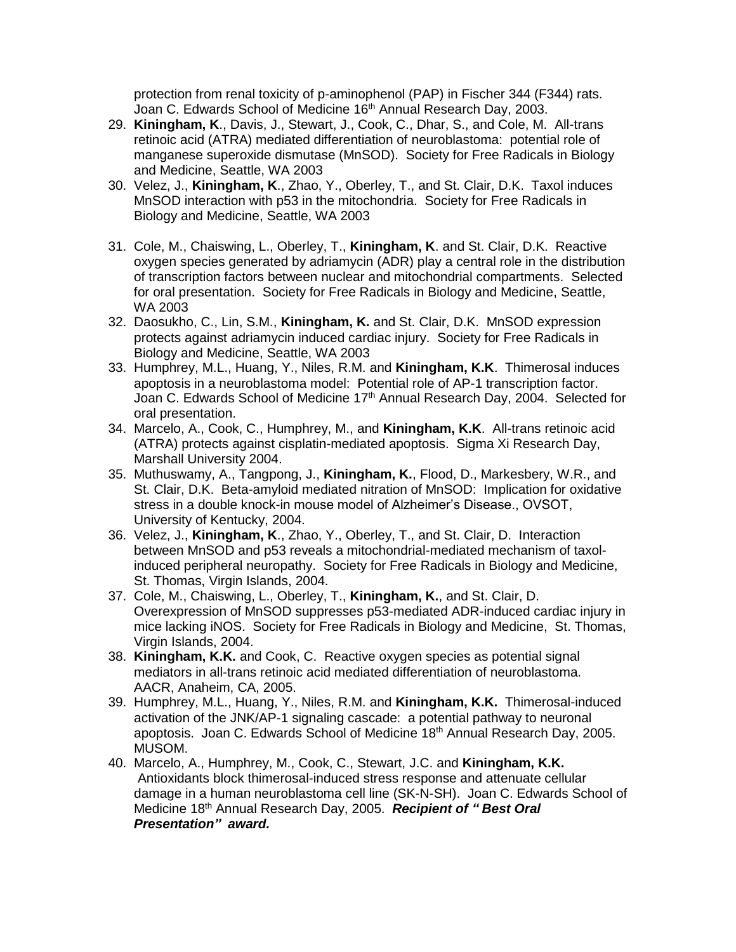protection from renal toxicity of p-aminophenol (PAP) in Fischer 344 (F344) rats. Joan C. Edwards School of Medicine 16<sup>th</sup> Annual Research Day, 2003.

- 29. **Kiningham, K**., Davis, J., Stewart, J., Cook, C., Dhar, S., and Cole, M. All-trans retinoic acid (ATRA) mediated differentiation of neuroblastoma: potential role of manganese superoxide dismutase (MnSOD). Society for Free Radicals in Biology and Medicine, Seattle, WA 2003
- 30. Velez, J., **Kiningham, K**., Zhao, Y., Oberley, T., and St. Clair, D.K. Taxol induces MnSOD interaction with p53 in the mitochondria. Society for Free Radicals in Biology and Medicine, Seattle, WA 2003
- 31. Cole, M., Chaiswing, L., Oberley, T., **Kiningham, K**. and St. Clair, D.K. Reactive oxygen species generated by adriamycin (ADR) play a central role in the distribution of transcription factors between nuclear and mitochondrial compartments. Selected for oral presentation. Society for Free Radicals in Biology and Medicine, Seattle, WA 2003
- 32. Daosukho, C., Lin, S.M., **Kiningham, K.** and St. Clair, D.K. MnSOD expression protects against adriamycin induced cardiac injury. Society for Free Radicals in Biology and Medicine, Seattle, WA 2003
- 33. Humphrey, M.L., Huang, Y., Niles, R.M. and **Kiningham, K.K**. Thimerosal induces apoptosis in a neuroblastoma model: Potential role of AP-1 transcription factor. Joan C. Edwards School of Medicine 17<sup>th</sup> Annual Research Day, 2004. Selected for oral presentation.
- 34. Marcelo, A., Cook, C., Humphrey, M., and **Kiningham, K.K**. All-trans retinoic acid (ATRA) protects against cisplatin-mediated apoptosis. Sigma Xi Research Day, Marshall University 2004.
- 35. Muthuswamy, A., Tangpong, J., **Kiningham, K.**, Flood, D., Markesbery, W.R., and St. Clair, D.K. Beta-amyloid mediated nitration of MnSOD: Implication for oxidative stress in a double knock-in mouse model of Alzheimer's Disease., OVSOT, University of Kentucky, 2004.
- 36. Velez, J., **Kiningham, K**., Zhao, Y., Oberley, T., and St. Clair, D. Interaction between MnSOD and p53 reveals a mitochondrial-mediated mechanism of taxol induced peripheral neuropathy. Society for Free Radicals in Biology and Medicine, St. Thomas, Virgin Islands, 2004.
- 37. Cole, M., Chaiswing, L., Oberley, T., **Kiningham, K.**, and St. Clair, D. Overexpression of MnSOD suppresses p53-mediated ADR-induced cardiac injury in mice lacking iNOS. Society for Free Radicals in Biology and Medicine, St. Thomas, Virgin Islands, 2004.
- 38. **Kiningham, K.K.** and Cook, C. Reactive oxygen species as potential signal mediators in all-trans retinoic acid mediated differentiation of neuroblastoma. AACR, Anaheim, CA, 2005.
- 39. Humphrey, M.L., Huang, Y., Niles, R.M. and **Kiningham, K.K.** Thimerosal-induced activation of the JNK/AP-1 signaling cascade: a potential pathway to neuronal apoptosis. Joan C. Edwards School of Medicine 18th Annual Research Day, 2005. MUSOM.
- 40. Marcelo, A., Humphrey, M., Cook, C., Stewart, J.C. and **Kiningham, K.K.** Antioxidants block thimerosal-induced stress response and attenuate cellular damage in a human neuroblastoma cell line (SK-N-SH). Joan C. Edwards School of Medicine 18th Annual Research Day, 2005. *Recipient of " Best Oral Presentation" award.*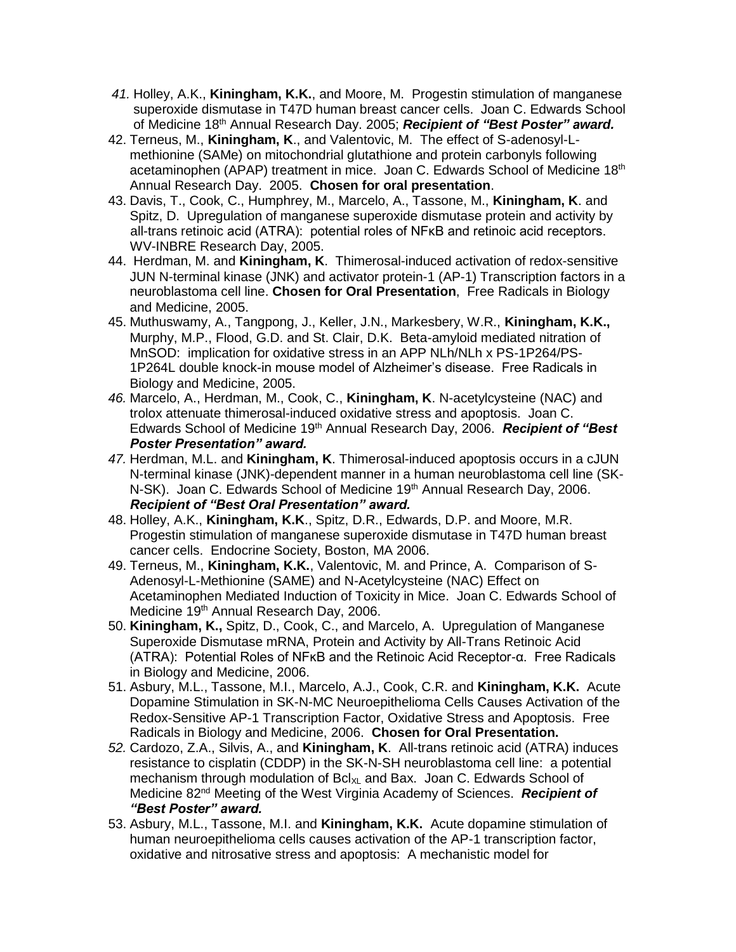- *41.* Holley, A.K., **Kiningham, K.K.**, and Moore, M. Progestin stimulation of manganese superoxide dismutase in T47D human breast cancer cells. Joan C. Edwards School of Medicine 18th Annual Research Day. 2005; *Recipient of "Best Poster" award.*
- 42. Terneus, M., **Kiningham, K**., and Valentovic, M. The effect of S-adenosyl-Lmethionine (SAMe) on mitochondrial glutathione and protein carbonyls following acetaminophen (APAP) treatment in mice. Joan C. Edwards School of Medicine 18<sup>th</sup> Annual Research Day. 2005. **Chosen for oral presentation**.
- 43. Davis, T., Cook, C., Humphrey, M., Marcelo, A., Tassone, M., **Kiningham, K**. and Spitz, D. Upregulation of manganese superoxide dismutase protein and activity by all-trans retinoic acid (ATRA): potential roles of NFκB and retinoic acid receptors. WV-INBRE Research Day, 2005.
- 44. Herdman, M. and **Kiningham, K**. Thimerosal-induced activation of redox-sensitive JUN N-terminal kinase (JNK) and activator protein-1 (AP-1) Transcription factors in a neuroblastoma cell line. **Chosen for Oral Presentation**, Free Radicals in Biology and Medicine, 2005.
- 45. Muthuswamy, A., Tangpong, J., Keller, J.N., Markesbery, W.R., **Kiningham, K.K.,** Murphy, M.P., Flood, G.D. and St. Clair, D.K. Beta-amyloid mediated nitration of MnSOD: implication for oxidative stress in an APP NLh/NLh x PS-1P264/PS-1P264L double knock-in mouse model of Alzheimer's disease. Free Radicals in Biology and Medicine, 2005.
- *46.* Marcelo, A., Herdman, M., Cook, C., **Kiningham, K**. N-acetylcysteine (NAC) and trolox attenuate thimerosal-induced oxidative stress and apoptosis. Joan C. Edwards School of Medicine 19th Annual Research Day, 2006. *Recipient of "Best Poster Presentation" award.*
- *47.* Herdman, M.L. and **Kiningham, K**. Thimerosal-induced apoptosis occurs in a cJUN N-terminal kinase (JNK)-dependent manner in a human neuroblastoma cell line (SK-N-SK). Joan C. Edwards School of Medicine 19<sup>th</sup> Annual Research Day, 2006. *Recipient of "Best Oral Presentation" award.*
- 48. Holley, A.K., **Kiningham, K.K**., Spitz, D.R., Edwards, D.P. and Moore, M.R. Progestin stimulation of manganese superoxide dismutase in T47D human breast cancer cells. Endocrine Society, Boston, MA 2006.
- 49. Terneus, M., **Kiningham, K.K.**, Valentovic, M. and Prince, A. Comparison of S-Adenosyl-L-Methionine (SAME) and N-Acetylcysteine (NAC) Effect on Acetaminophen Mediated Induction of Toxicity in Mice. Joan C. Edwards School of Medicine 19<sup>th</sup> Annual Research Day, 2006.
- 50. **Kiningham, K.,** Spitz, D., Cook, C., and Marcelo, A. Upregulation of Manganese Superoxide Dismutase mRNA, Protein and Activity by All-Trans Retinoic Acid (ATRA): Potential Roles of NFĸB and the Retinoic Acid Receptor-α. Free Radicals in Biology and Medicine, 2006.
- 51. Asbury, M.L., Tassone, M.I., Marcelo, A.J., Cook, C.R. and **Kiningham, K.K.** Acute Dopamine Stimulation in SK-N-MC Neuroepithelioma Cells Causes Activation of the Redox-Sensitive AP-1 Transcription Factor, Oxidative Stress and Apoptosis. Free Radicals in Biology and Medicine, 2006. **Chosen for Oral Presentation.**
- *52.* Cardozo, Z.A., Silvis, A., and **Kiningham, K**. All-trans retinoic acid (ATRA) induces resistance to cisplatin (CDDP) in the SK-N-SH neuroblastoma cell line: a potential mechanism through modulation of  $Bcl_{XL}$  and Bax. Joan C. Edwards School of Medicine 82nd Meeting of the West Virginia Academy of Sciences. *Recipient of "Best Poster" award.*
- 53. Asbury, M.L., Tassone, M.I. and **Kiningham, K.K.** Acute dopamine stimulation of human neuroepithelioma cells causes activation of the AP-1 transcription factor, oxidative and nitrosative stress and apoptosis: A mechanistic model for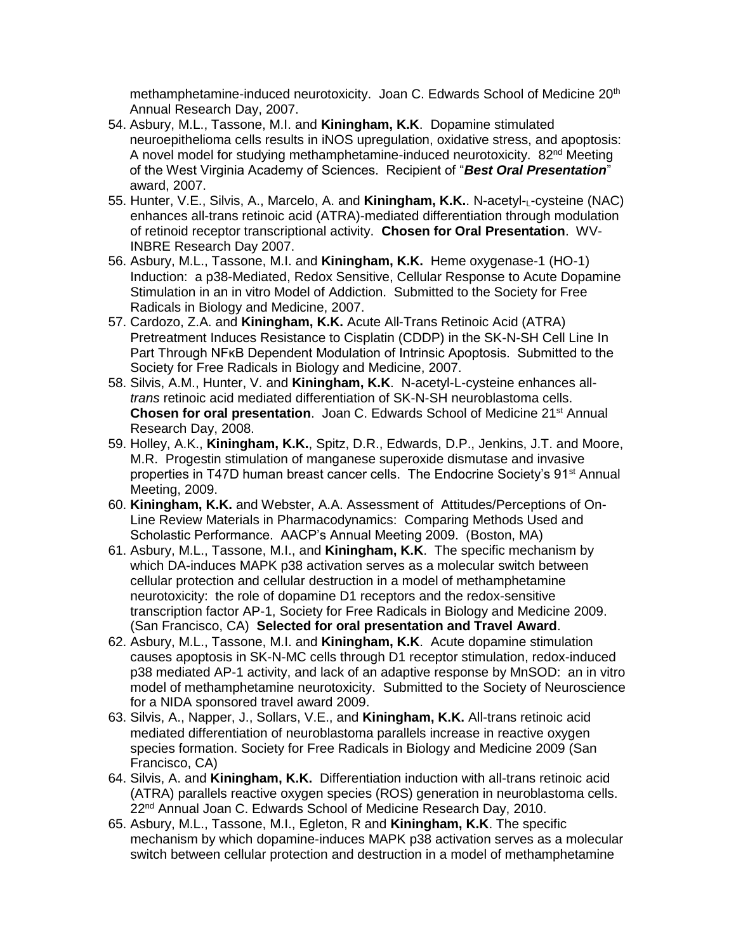methamphetamine-induced neurotoxicity. Joan C. Edwards School of Medicine 20th Annual Research Day, 2007.

- 54. Asbury, M.L., Tassone, M.I. and **Kiningham, K.K**. Dopamine stimulated neuroepithelioma cells results in iNOS upregulation, oxidative stress, and apoptosis: A novel model for studying methamphetamine-induced neurotoxicity. 82<sup>nd</sup> Meeting of the West Virginia Academy of Sciences. Recipient of "*Best Oral Presentation*" award, 2007.
- 55. Hunter, V.E., Silvis, A., Marcelo, A. and **Kiningham, K.K.**. N-acetyl-<sub>L</sub>-cysteine (NAC) enhances all-trans retinoic acid (ATRA)-mediated differentiation through modulation of retinoid receptor transcriptional activity. **Chosen for Oral Presentation**. WV- INBRE Research Day 2007.
- 56. Asbury, M.L., Tassone, M.I. and **Kiningham, K.K.** Heme oxygenase-1 (HO-1) Induction: a p38-Mediated, Redox Sensitive, Cellular Response to Acute Dopamine Stimulation in an in vitro Model of Addiction. Submitted to the Society for Free Radicals in Biology and Medicine, 2007.
- 57. Cardozo, Z.A. and **Kiningham, K.K.** Acute All-Trans Retinoic Acid (ATRA) Pretreatment Induces Resistance to Cisplatin (CDDP) in the SK-N-SH Cell Line In Part Through NFKB Dependent Modulation of Intrinsic Apoptosis. Submitted to the Society for Free Radicals in Biology and Medicine, 2007.
- 58. Silvis, A.M., Hunter, V. and **Kiningham, K.K**. N-acetyl-L-cysteine enhances all *trans* retinoic acid mediated differentiation of SK-N-SH neuroblastoma cells. **Chosen for oral presentation.** Joan C. Edwards School of Medicine 21<sup>st</sup> Annual Research Day, 2008.
- 59. Holley, A.K., **Kiningham, K.K.**, Spitz, D.R., Edwards, D.P., Jenkins, J.T. and Moore, M.R. Progestin stimulation of manganese superoxide dismutase and invasive properties in T47D human breast cancer cells. The Endocrine Society's 91<sup>st</sup> Annual Meeting, 2009.
- 60. **Kiningham, K.K.** and Webster, A.A. Assessment of Attitudes/Perceptions of On- Line Review Materials in Pharmacodynamics: Comparing Methods Used and Scholastic Performance. AACP's Annual Meeting 2009. (Boston, MA)
- 61. Asbury, M.L., Tassone, M.I., and **Kiningham, K.K**. The specific mechanism by which DA-induces MAPK p38 activation serves as a molecular switch between cellular protection and cellular destruction in a model of methamphetamine neurotoxicity: the role of dopamine D1 receptors and the redox-sensitive transcription factor AP-1, Society for Free Radicals in Biology and Medicine 2009. (San Francisco, CA) **Selected for oral presentation and Travel Award**.
- 62. Asbury, M.L., Tassone, M.I. and **Kiningham, K.K**. Acute dopamine stimulation causes apoptosis in SK-N-MC cells through D1 receptor stimulation, redox-induced p38 mediated AP-1 activity, and lack of an adaptive response by MnSOD: an in vitro model of methamphetamine neurotoxicity. Submitted to the Society of Neuroscience for a NIDA sponsored travel award 2009.
- 63. Silvis, A., Napper, J., Sollars, V.E., and **Kiningham, K.K.** All-trans retinoic acid mediated differentiation of neuroblastoma parallels increase in reactive oxygen species formation. Society for Free Radicals in Biology and Medicine 2009 (San Francisco, CA)
- 64. Silvis, A. and **Kiningham, K.K.** Differentiation induction with all-trans retinoic acid (ATRA) parallels reactive oxygen species (ROS) generation in neuroblastoma cells. 22<sup>nd</sup> Annual Joan C. Edwards School of Medicine Research Day, 2010.
- 65. Asbury, M.L., Tassone, M.I., Egleton, R and **Kiningham, K.K**. The specific mechanism by which dopamine-induces MAPK p38 activation serves as a molecular switch between cellular protection and destruction in a model of methamphetamine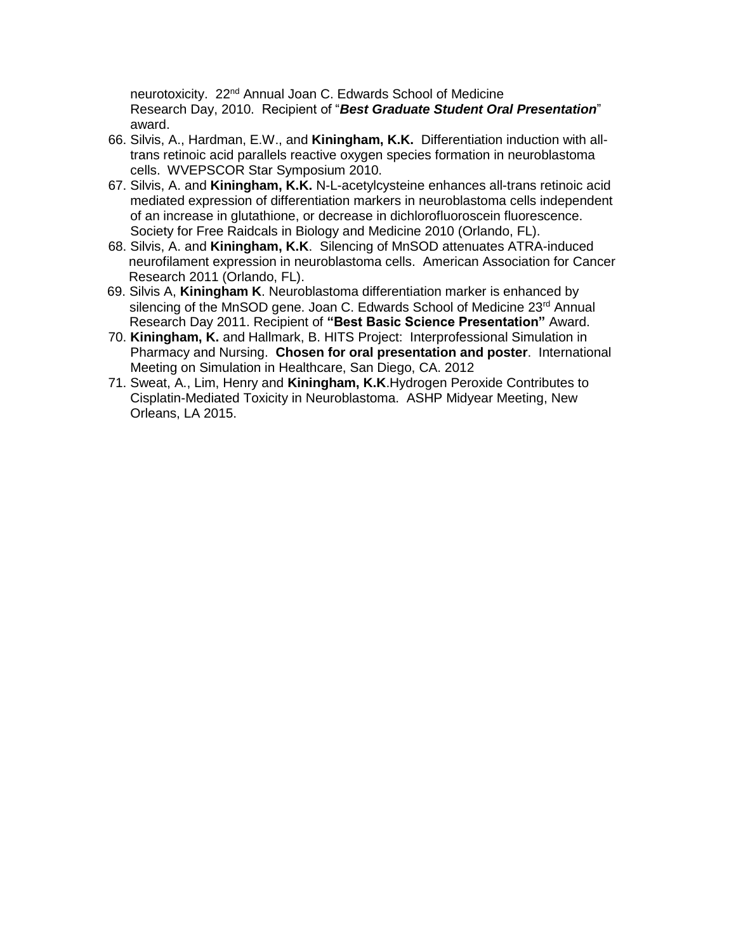neurotoxicity. 22<sup>nd</sup> Annual Joan C. Edwards School of Medicine Research Day, 2010. Recipient of "*Best Graduate Student Oral Presentation*" award.

- 66. Silvis, A., Hardman, E.W., and **Kiningham, K.K.** Differentiation induction with all trans retinoic acid parallels reactive oxygen species formation in neuroblastoma cells. WVEPSCOR Star Symposium 2010.
- 67. Silvis, A. and **Kiningham, K.K.** N-L-acetylcysteine enhances all-trans retinoic acid mediated expression of differentiation markers in neuroblastoma cells independent of an increase in glutathione, or decrease in dichlorofluoroscein fluorescence. Society for Free Raidcals in Biology and Medicine 2010 (Orlando, FL).
- 68. Silvis, A. and **Kiningham, K.K**. Silencing of MnSOD attenuates ATRA-induced neurofilament expression in neuroblastoma cells. American Association for Cancer Research 2011 (Orlando, FL).
- 69. Silvis A, **Kiningham K**. Neuroblastoma differentiation marker is enhanced by silencing of the MnSOD gene. Joan C. Edwards School of Medicine 23<sup>rd</sup> Annual Research Day 2011. Recipient of **"Best Basic Science Presentation"** Award.
- 70. **Kiningham, K.** and Hallmark, B. HITS Project: Interprofessional Simulation in Pharmacy and Nursing. **Chosen for oral presentation and poster**. International Meeting on Simulation in Healthcare, San Diego, CA. 2012
- 71. Sweat, A., Lim, Henry and **Kiningham, K.K**.Hydrogen Peroxide Contributes to Cisplatin-Mediated Toxicity in Neuroblastoma. ASHP Midyear Meeting, New Orleans, LA 2015.